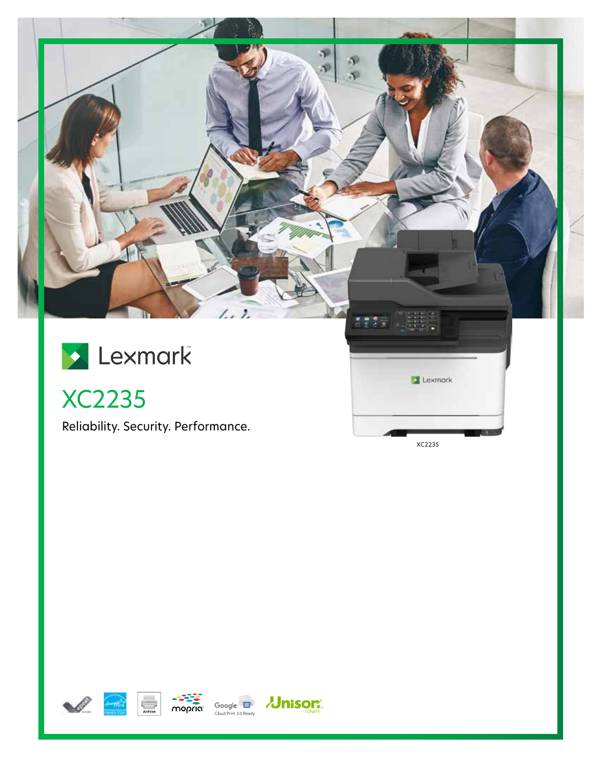

XC2235

Reliability. Security. Performance.

XC2235







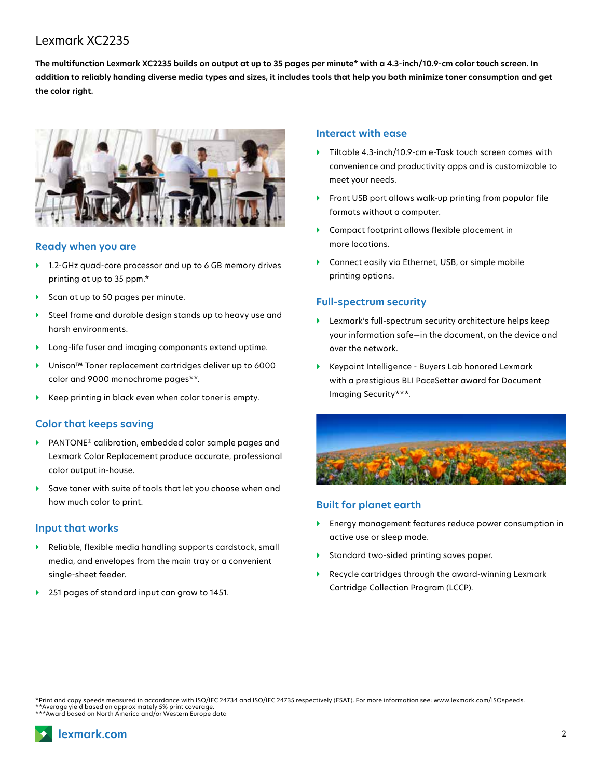# Lexmark XC2235

**The multifunction Lexmark XC2235 builds on output at up to 35 pages per minute\* with a 4.3-inch/10.9-cm color touch screen. In addition to reliably handing diverse media types and sizes, it includes tools that help you both minimize toner consumption and get the color right.**



#### **Ready when you are**

- ▶ 1.2-GHz quad-core processor and up to 6 GB memory drives printing at up to 35 ppm.\*
- ▶ Scan at up to 50 pages per minute.
- } Steel frame and durable design stands up to heavy use and harsh environments.
- } Long-life fuser and imaging components extend uptime.
- } Unison™ Toner replacement cartridges deliver up to 6000 color and 9000 monochrome pages\*\*.
- Keep printing in black even when color toner is empty.

## **Color that keeps saving**

- } PANTONE® calibration, embedded color sample pages and Lexmark Color Replacement produce accurate, professional color output in-house.
- Save toner with suite of tools that let you choose when and how much color to print.

#### **Input that works**

- } Reliable, flexible media handling supports cardstock, small media, and envelopes from the main tray or a convenient single-sheet feeder.
- } 251 pages of standard input can grow to 1451.

### **Interact with ease**

- } Tiltable 4.3-inch/10.9-cm e-Task touch screen comes with convenience and productivity apps and is customizable to meet your needs.
- } Front USB port allows walk-up printing from popular file formats without a computer.
- ▶ Compact footprint allows flexible placement in more locations.
- } Connect easily via Ethernet, USB, or simple mobile printing options.

# **Full-spectrum security**

- } Lexmark's full-spectrum security architecture helps keep your information safe—in the document, on the device and over the network.
- } Keypoint Intelligence Buyers Lab honored Lexmark with a prestigious BLI PaceSetter award for Document Imaging Security\*\*\*.



### **Built for planet earth**

- } Energy management features reduce power consumption in active use or sleep mode.
- } Standard two-sided printing saves paper.
- } Recycle cartridges through the award-winning Lexmark Cartridge Collection Program (LCCP).

\*Print and copy speeds measured in accordance with ISO/IEC 24734 and ISO/IEC 24735 respectively (ESAT). For more information see: www.lexmark.com/ISOspeeds. \*\*Average yield based on approximately 5% print coverage. \*\*\*Award based on North America and/or Western Europe data

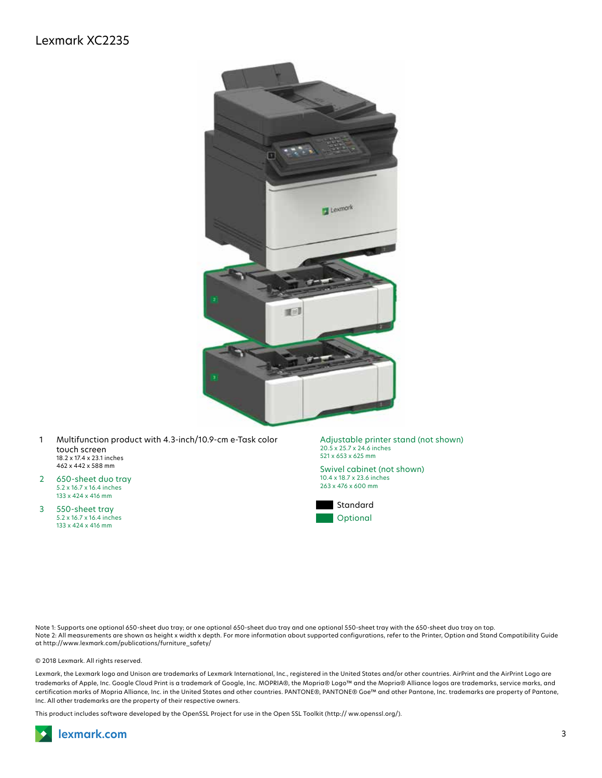

- 1 Multifunction product with 4.3-inch/10.9-cm e-Task color touch screen 18.2 x 17.4 x 23.1 inches 462 x 442 x 588 mm
- 2 650-sheet duo tray 5.2 x 16.7 x 16.4 inches 133 x 424 x 416 mm
- 3 550-sheet tray 5.2 x 16.7 x 16.4 inches 133 x 424 x 416 mm

Adjustable printer stand (not shown) 20.5 x 25.7 x 24.6 inches 521 x 653 x 625 mm

Swivel cabinet (not shown) 10.4 x 18.7 x 23.6 inches 263 x 476 x 600 mm



Note 1: Supports one optional 650-sheet duo tray; or one optional 650-sheet duo tray and one optional 550-sheet tray with the 650-sheet duo tray on top. Note 2: All measurements are shown as height x width x depth. For more information about supported configurations, refer to the Printer, Option and Stand Compatibility Guide at http://www.lexmark.com/publications/furniture\_safety/

© 2018 Lexmark. All rights reserved.

Lexmark, the Lexmark logo and Unison are trademarks of Lexmark International, Inc., registered in the United States and/or other countries. AirPrint and the AirPrint Logo are trademarks of Apple, Inc. Google Cloud Print is a trademark of Google, Inc. MOPRIA®, the Mopria® Logo™ and the Mopria® Alliance logos are trademarks, service marks, and certification marks of Mopria Alliance, Inc. in the United States and other countries. PANTONE®, PANTONE® Goe™ and other Pantone, Inc. trademarks are property of Pantone, Inc. All other trademarks are the property of their respective owners.

This product includes software developed by the OpenSSL Project for use in the Open SSL Toolkit (http:// ww.openssl.org/).